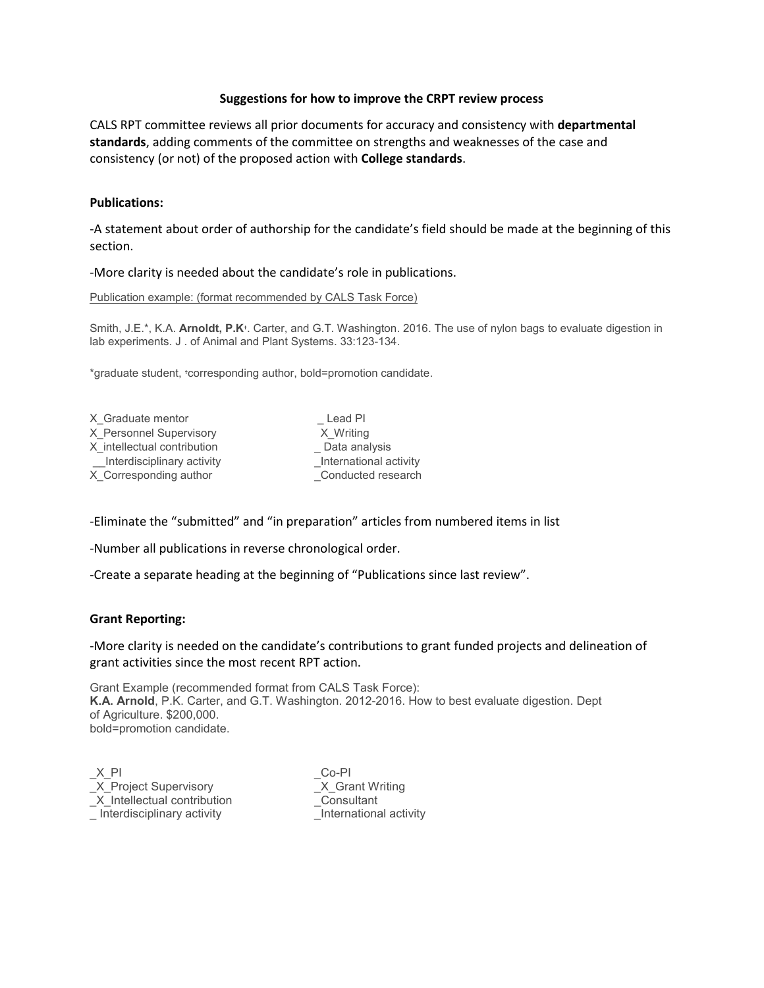## **Suggestions for how to improve the CRPT review process**

CALS RPT committee reviews all prior documents for accuracy and consistency with **departmental standards**, adding comments of the committee on strengths and weaknesses of the case and consistency (or not) of the proposed action with **College standards**.

## **Publications:**

-A statement about order of authorship for the candidate's field should be made at the beginning of this section.

-More clarity is needed about the candidate's role in publications.

Publication example: (format recommended by CALS Task Force)

Smith, J.E.\*, K.A. **Arnoldt, P.K**↑. Carter, and G.T. Washington. 2016. The use of nylon bags to evaluate digestion in lab experiments. J . of Animal and Plant Systems. 33:123-134.

\*graduate student, ♱corresponding author, bold=promotion candidate.

| X Graduate mentor           | Lead PI                |
|-----------------------------|------------------------|
| X Personnel Supervisory     | X Writing              |
| X intellectual contribution | Data analysis          |
| Interdisciplinary activity  | International activity |
| X Corresponding author      | Conducted research     |

-Eliminate the "submitted" and "in preparation" articles from numbered items in list

-Number all publications in reverse chronological order.

-Create a separate heading at the beginning of "Publications since last review".

## **Grant Reporting:**

-More clarity is needed on the candidate's contributions to grant funded projects and delineation of grant activities since the most recent RPT action.

Grant Example (recommended format from CALS Task Force): **K.A. Arnold**, P.K. Carter, and G.T. Washington. 2012-2016. How to best evaluate digestion. Dept of Agriculture. \$200,000. bold=promotion candidate.

 $X$  PI  $CO-PI$ \_X\_Project Supervisory \_X\_Grant Writing<br>\_X\_Intellectual contribution \_Consultant  $X$  Intellectual contribution \_ Interdisciplinary activity \_International activity